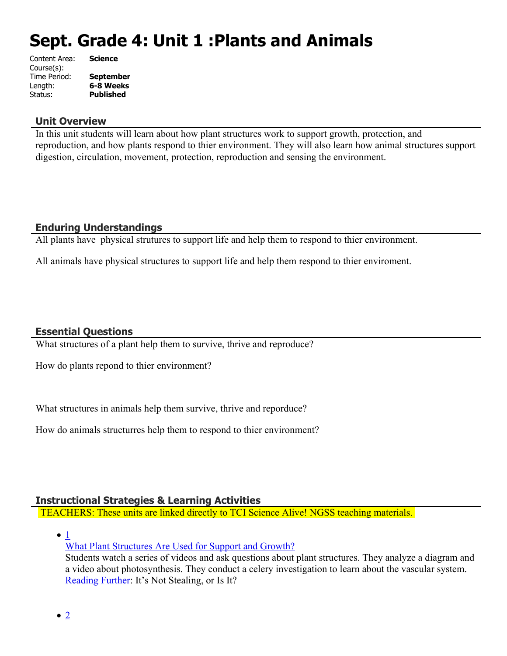# **Sept. Grade 4: Unit 1 :Plants and Animals**

| Content Area: | <b>Science</b>   |
|---------------|------------------|
| Course(s):    |                  |
| Time Period:  | <b>September</b> |
| Length:       | 6-8 Weeks        |
| Status:       | Published        |
|               |                  |

#### **Unit Overview**

In this unit students will learn about how plant structures work to support growth, protection, and reproduction, and how plants respond to thier environment. They will also learn how animal structures support digestion, circulation, movement, protection, reproduction and sensing the environment.

## **Enduring Understandings**

All plants have physical strutures to support life and help them to respond to thier environment.

All animals have physical structures to support life and help them respond to thier enviroment.

#### **Essential Questions**

What structures of a plant help them to survive, thrive and reproduce?

How do plants repond to thier environment?

What structures in animals help them survive, thrive and reporduce?

How do animals structurres help them to respond to thier environment?

# **Instructional Strategies & Learning Activities**

TEACHERS: These units are linked directly to TCI Science Alive! NGSS teaching materials.

 $\bullet$  [1](https://subscriptions.teachtci.com/shared/programs/155/lessons/1508/slide_shows)

[What Plant Structures Are Used for Support and Growth?](https://subscriptions.teachtci.com/shared/programs/155/lessons/1508/slide_shows)

Students watch a series of videos and ask questions about plant structures. They analyze a diagram and a video about photosynthesis. They conduct a celery investigation to learn about the vascular system. [Reading Further](https://subscriptions.teachtci.com/shared/sections/11213?program_id=155&student_view=true): It's Not Stealing, or Is It?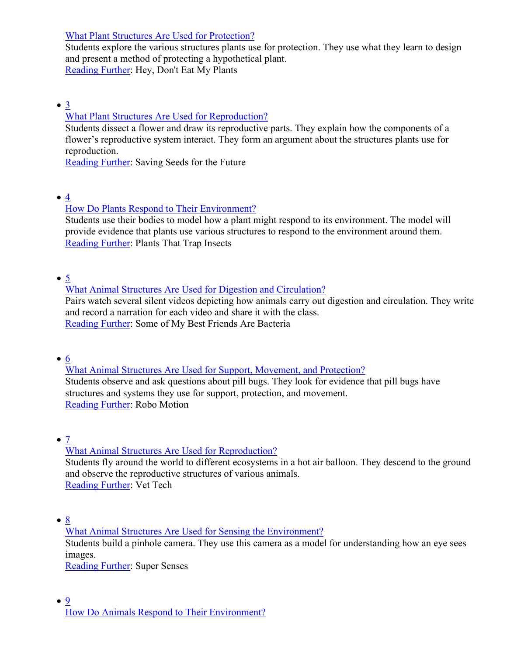[What Plant Structures Are Used for Protection?](https://subscriptions.teachtci.com/shared/programs/155/lessons/1509/slide_shows)

Students explore the various structures plants use for protection. They use what they learn to design and present a method of protecting a hypothetical plant. [Reading Further](https://subscriptions.teachtci.com/shared/sections/11963?program_id=155&student_view=true): Hey, Don't Eat My Plants

[3](https://subscriptions.teachtci.com/shared/programs/155/lessons/1510/slide_shows)

## [What Plant Structures Are Used for Reproduction?](https://subscriptions.teachtci.com/shared/programs/155/lessons/1510/slide_shows)

Students dissect a flower and draw its reproductive parts. They explain how the components of a flower's reproductive system interact. They form an argument about the structures plants use for reproduction.

[Reading Further](https://subscriptions.teachtci.com/shared/sections/11252?program_id=155&student_view=true): Saving Seeds for the Future

 $\bullet$  [4](https://subscriptions.teachtci.com/shared/programs/155/lessons/1511/slide_shows)

#### [How Do Plants Respond to Their Environment?](https://subscriptions.teachtci.com/shared/programs/155/lessons/1511/slide_shows)

Students use their bodies to model how a plant might respond to its environment. The model will provide evidence that plants use various structures to respond to the environment around them. [Reading Further](https://subscriptions.teachtci.com/shared/sections/11273?program_id=155&student_view=true): Plants That Trap Insects

 $\bullet$  [5](https://subscriptions.teachtci.com/shared/programs/155/lessons/1512/slide_shows)

#### [What Animal Structures Are Used for Digestion and Circulation?](https://subscriptions.teachtci.com/shared/programs/155/lessons/1512/slide_shows)

Pairs watch several silent videos depicting how animals carry out digestion and circulation. They write and record a narration for each video and share it with the class. [Reading Further](https://subscriptions.teachtci.com/shared/sections/11315?program_id=155&student_view=true): Some of My Best Friends Are Bacteria

 $\bullet$  [6](https://subscriptions.teachtci.com/shared/programs/155/lessons/1513/slide_shows)

[What Animal Structures Are Used for Support, Movement, and Protection?](https://subscriptions.teachtci.com/shared/programs/155/lessons/1513/slide_shows) Students observe and ask questions about pill bugs. They look for evidence that pill bugs have structures and systems they use for support, protection, and movement. [Reading Further](https://subscriptions.teachtci.com/shared/sections/11335?program_id=155&student_view=true): Robo Motion

 $\bullet$  [7](https://subscriptions.teachtci.com/shared/programs/155/lessons/1514/slide_shows)

[What Animal Structures Are Used for Reproduction?](https://subscriptions.teachtci.com/shared/programs/155/lessons/1514/slide_shows)

Students fly around the world to different ecosystems in a hot air balloon. They descend to the ground and observe the reproductive structures of various animals. [Reading Further](https://subscriptions.teachtci.com/shared/sections/11356?program_id=155&student_view=true): Vet Tech

 $\bullet$  [8](https://subscriptions.teachtci.com/shared/programs/155/lessons/1515/slide_shows)

[What Animal Structures Are Used for Sensing the Environment?](https://subscriptions.teachtci.com/shared/programs/155/lessons/1515/slide_shows)

Students build a pinhole camera. They use this camera as a model for understanding how an eye sees images.

[Reading Further](https://subscriptions.teachtci.com/shared/sections/11383?program_id=155&student_view=true): Super Senses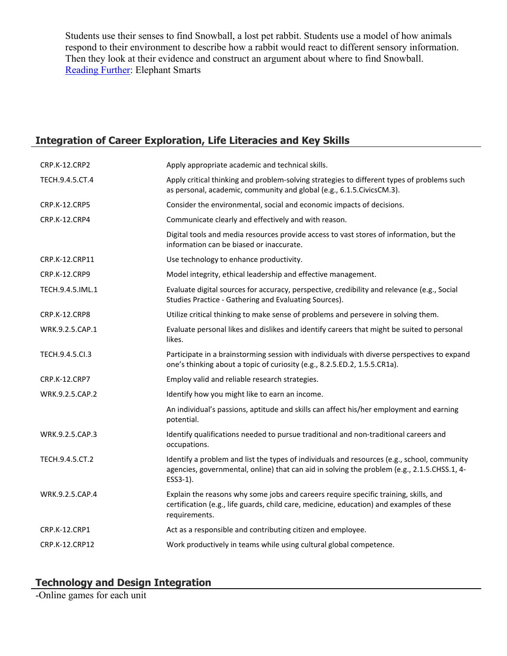Students use their senses to find Snowball, a lost pet rabbit. Students use a model of how animals respond to their environment to describe how a rabbit would react to different sensory information. Then they look at their evidence and construct an argument about where to find Snowball. [Reading Further](https://subscriptions.teachtci.com/shared/sections/11420?program_id=155&student_view=true): Elephant Smarts

# **Integration of Career Exploration, Life Literacies and Key Skills**

| CRP.K-12.CRP2        | Apply appropriate academic and technical skills.                                                                                                                                                       |
|----------------------|--------------------------------------------------------------------------------------------------------------------------------------------------------------------------------------------------------|
| TECH.9.4.5.CT.4      | Apply critical thinking and problem-solving strategies to different types of problems such<br>as personal, academic, community and global (e.g., 6.1.5. Civics CM.3).                                  |
| <b>CRP.K-12.CRP5</b> | Consider the environmental, social and economic impacts of decisions.                                                                                                                                  |
| CRP.K-12.CRP4        | Communicate clearly and effectively and with reason.                                                                                                                                                   |
|                      | Digital tools and media resources provide access to vast stores of information, but the<br>information can be biased or inaccurate.                                                                    |
| CRP.K-12.CRP11       | Use technology to enhance productivity.                                                                                                                                                                |
| CRP.K-12.CRP9        | Model integrity, ethical leadership and effective management.                                                                                                                                          |
| TECH.9.4.5.IML.1     | Evaluate digital sources for accuracy, perspective, credibility and relevance (e.g., Social<br>Studies Practice - Gathering and Evaluating Sources).                                                   |
| CRP.K-12.CRP8        | Utilize critical thinking to make sense of problems and persevere in solving them.                                                                                                                     |
| WRK.9.2.5.CAP.1      | Evaluate personal likes and dislikes and identify careers that might be suited to personal<br>likes.                                                                                                   |
| TECH.9.4.5.Cl.3      | Participate in a brainstorming session with individuals with diverse perspectives to expand<br>one's thinking about a topic of curiosity (e.g., 8.2.5.ED.2, 1.5.5.CR1a).                               |
| CRP.K-12.CRP7        | Employ valid and reliable research strategies.                                                                                                                                                         |
| WRK.9.2.5.CAP.2      | Identify how you might like to earn an income.                                                                                                                                                         |
|                      | An individual's passions, aptitude and skills can affect his/her employment and earning<br>potential.                                                                                                  |
| WRK.9.2.5.CAP.3      | Identify qualifications needed to pursue traditional and non-traditional careers and<br>occupations.                                                                                                   |
| TECH.9.4.5.CT.2      | Identify a problem and list the types of individuals and resources (e.g., school, community<br>agencies, governmental, online) that can aid in solving the problem (e.g., 2.1.5.CHSS.1, 4-<br>ESS3-1). |
| WRK.9.2.5.CAP.4      | Explain the reasons why some jobs and careers require specific training, skills, and<br>certification (e.g., life guards, child care, medicine, education) and examples of these<br>requirements.      |
| CRP.K-12.CRP1        | Act as a responsible and contributing citizen and employee.                                                                                                                                            |
| CRP.K-12.CRP12       | Work productively in teams while using cultural global competence.                                                                                                                                     |
|                      |                                                                                                                                                                                                        |

## **Technology and Design Integration**

-Online games for each unit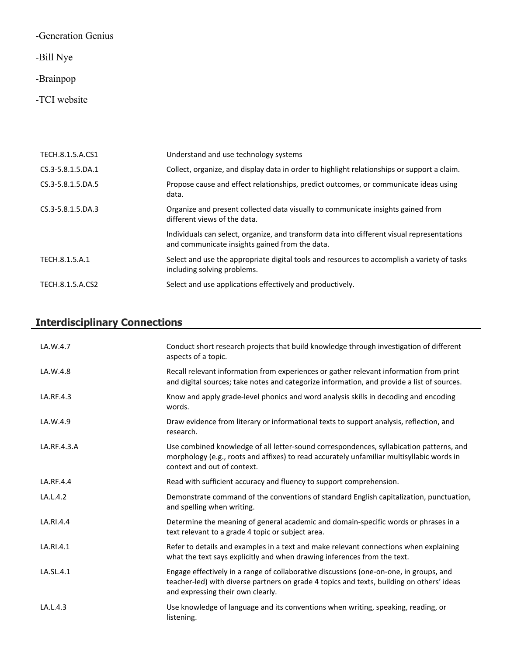-Generation Genius

-Bill Nye

# -Brainpop

-TCI website

| TECH.8.1.5.A.CS1  | Understand and use technology systems                                                                                                        |
|-------------------|----------------------------------------------------------------------------------------------------------------------------------------------|
| CS.3-5.8.1.5.DA.1 | Collect, organize, and display data in order to highlight relationships or support a claim.                                                  |
| CS.3-5.8.1.5.DA.5 | Propose cause and effect relationships, predict outcomes, or communicate ideas using<br>data.                                                |
| CS.3-5.8.1.5.DA.3 | Organize and present collected data visually to communicate insights gained from<br>different views of the data.                             |
|                   | Individuals can select, organize, and transform data into different visual representations<br>and communicate insights gained from the data. |
| TECH.8.1.5.A.1    | Select and use the appropriate digital tools and resources to accomplish a variety of tasks<br>including solving problems.                   |
| TECH.8.1.5.A.CS2  | Select and use applications effectively and productively.                                                                                    |

# **Interdisciplinary Connections**

| LA.W.4.7    | Conduct short research projects that build knowledge through investigation of different<br>aspects of a topic.                                                                                                           |
|-------------|--------------------------------------------------------------------------------------------------------------------------------------------------------------------------------------------------------------------------|
| LA.W.4.8    | Recall relevant information from experiences or gather relevant information from print<br>and digital sources; take notes and categorize information, and provide a list of sources.                                     |
| LA.RF.4.3   | Know and apply grade-level phonics and word analysis skills in decoding and encoding<br>words.                                                                                                                           |
| LA.W.4.9    | Draw evidence from literary or informational texts to support analysis, reflection, and<br>research.                                                                                                                     |
| LA.RF.4.3.A | Use combined knowledge of all letter-sound correspondences, syllabication patterns, and<br>morphology (e.g., roots and affixes) to read accurately unfamiliar multisyllabic words in<br>context and out of context.      |
| LA.RF.4.4   | Read with sufficient accuracy and fluency to support comprehension.                                                                                                                                                      |
| LA.L.4.2    | Demonstrate command of the conventions of standard English capitalization, punctuation,<br>and spelling when writing.                                                                                                    |
| LA.RI.4.4   | Determine the meaning of general academic and domain-specific words or phrases in a<br>text relevant to a grade 4 topic or subject area.                                                                                 |
| LA.RI.4.1   | Refer to details and examples in a text and make relevant connections when explaining<br>what the text says explicitly and when drawing inferences from the text.                                                        |
| LA.SL.4.1   | Engage effectively in a range of collaborative discussions (one-on-one, in groups, and<br>teacher-led) with diverse partners on grade 4 topics and texts, building on others' ideas<br>and expressing their own clearly. |
| LA.L.4.3    | Use knowledge of language and its conventions when writing, speaking, reading, or<br>listening.                                                                                                                          |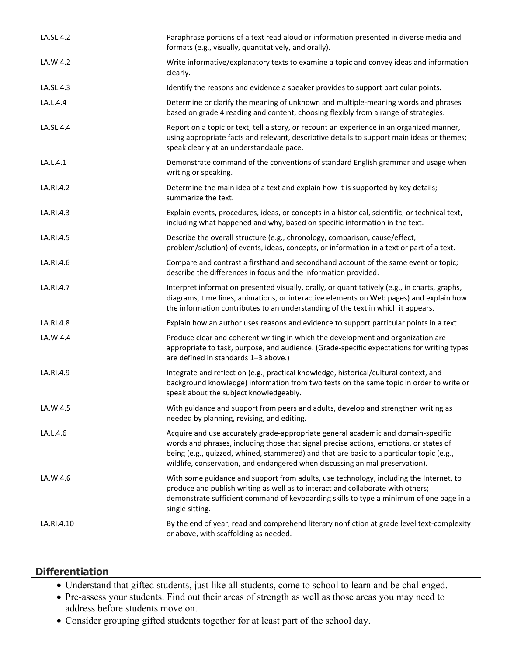| LA.SL.4.2  | Paraphrase portions of a text read aloud or information presented in diverse media and<br>formats (e.g., visually, quantitatively, and orally).                                                                                                                                                                                                         |
|------------|---------------------------------------------------------------------------------------------------------------------------------------------------------------------------------------------------------------------------------------------------------------------------------------------------------------------------------------------------------|
| LA.W.4.2   | Write informative/explanatory texts to examine a topic and convey ideas and information<br>clearly.                                                                                                                                                                                                                                                     |
| LA.SL.4.3  | Identify the reasons and evidence a speaker provides to support particular points.                                                                                                                                                                                                                                                                      |
| LA.L.4.4   | Determine or clarify the meaning of unknown and multiple-meaning words and phrases<br>based on grade 4 reading and content, choosing flexibly from a range of strategies.                                                                                                                                                                               |
| LA.SL.4.4  | Report on a topic or text, tell a story, or recount an experience in an organized manner,<br>using appropriate facts and relevant, descriptive details to support main ideas or themes;<br>speak clearly at an understandable pace.                                                                                                                     |
| LA.L.4.1   | Demonstrate command of the conventions of standard English grammar and usage when<br>writing or speaking.                                                                                                                                                                                                                                               |
| LA.RI.4.2  | Determine the main idea of a text and explain how it is supported by key details;<br>summarize the text.                                                                                                                                                                                                                                                |
| LA.RI.4.3  | Explain events, procedures, ideas, or concepts in a historical, scientific, or technical text,<br>including what happened and why, based on specific information in the text.                                                                                                                                                                           |
| LA.RI.4.5  | Describe the overall structure (e.g., chronology, comparison, cause/effect,<br>problem/solution) of events, ideas, concepts, or information in a text or part of a text.                                                                                                                                                                                |
| LA.RI.4.6  | Compare and contrast a firsthand and secondhand account of the same event or topic;<br>describe the differences in focus and the information provided.                                                                                                                                                                                                  |
| LA.RI.4.7  | Interpret information presented visually, orally, or quantitatively (e.g., in charts, graphs,<br>diagrams, time lines, animations, or interactive elements on Web pages) and explain how<br>the information contributes to an understanding of the text in which it appears.                                                                            |
| LA.RI.4.8  | Explain how an author uses reasons and evidence to support particular points in a text.                                                                                                                                                                                                                                                                 |
| LA.W.4.4   | Produce clear and coherent writing in which the development and organization are<br>appropriate to task, purpose, and audience. (Grade-specific expectations for writing types<br>are defined in standards 1-3 above.)                                                                                                                                  |
| LA.RI.4.9  | Integrate and reflect on (e.g., practical knowledge, historical/cultural context, and<br>background knowledge) information from two texts on the same topic in order to write or<br>speak about the subject knowledgeably.                                                                                                                              |
| LA.W.4.5   | With guidance and support from peers and adults, develop and strengthen writing as<br>needed by planning, revising, and editing.                                                                                                                                                                                                                        |
| LA.L.4.6   | Acquire and use accurately grade-appropriate general academic and domain-specific<br>words and phrases, including those that signal precise actions, emotions, or states of<br>being (e.g., quizzed, whined, stammered) and that are basic to a particular topic (e.g.,<br>wildlife, conservation, and endangered when discussing animal preservation). |
| LA.W.4.6   | With some guidance and support from adults, use technology, including the Internet, to<br>produce and publish writing as well as to interact and collaborate with others;<br>demonstrate sufficient command of keyboarding skills to type a minimum of one page in a<br>single sitting.                                                                 |
| LA.RI.4.10 | By the end of year, read and comprehend literary nonfiction at grade level text-complexity<br>or above, with scaffolding as needed.                                                                                                                                                                                                                     |

#### **Differentiation**

- Understand that gifted students, just like all students, come to school to learn and be challenged.
- Pre-assess your students. Find out their areas of strength as well as those areas you may need to address before students move on.
- Consider grouping gifted students together for at least part of the school day.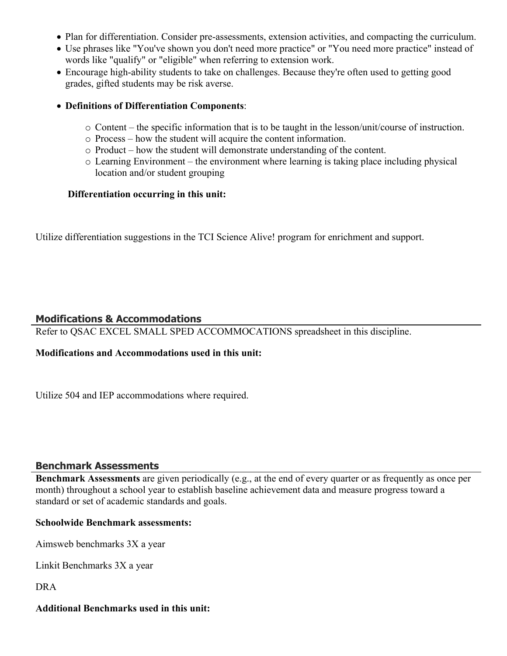- Plan for differentiation. Consider pre-assessments, extension activities, and compacting the curriculum.
- Use phrases like "You've shown you don't need more practice" or "You need more practice" instead of words like "qualify" or "eligible" when referring to extension work.
- Encourage high-ability students to take on challenges. Because they're often used to getting good grades, gifted students may be risk averse.

#### **Definitions of Differentiation Components**:

- o Content the specific information that is to be taught in the lesson/unit/course of instruction.
- o Process how the student will acquire the content information.
- o Product how the student will demonstrate understanding of the content.
- o Learning Environment the environment where learning is taking place including physical location and/or student grouping

#### **Differentiation occurring in this unit:**

Utilize differentiation suggestions in the TCI Science Alive! program for enrichment and support.

#### **Modifications & Accommodations**

Refer to QSAC EXCEL SMALL SPED ACCOMMOCATIONS spreadsheet in this discipline.

#### **Modifications and Accommodations used in this unit:**

Utilize 504 and IEP accommodations where required.

#### **Benchmark Assessments**

**Benchmark Assessments** are given periodically (e.g., at the end of every quarter or as frequently as once per month) throughout a school year to establish baseline achievement data and measure progress toward a standard or set of academic standards and goals.

#### **Schoolwide Benchmark assessments:**

Aimsweb benchmarks 3X a year

Linkit Benchmarks 3X a year

DRA

#### **Additional Benchmarks used in this unit:**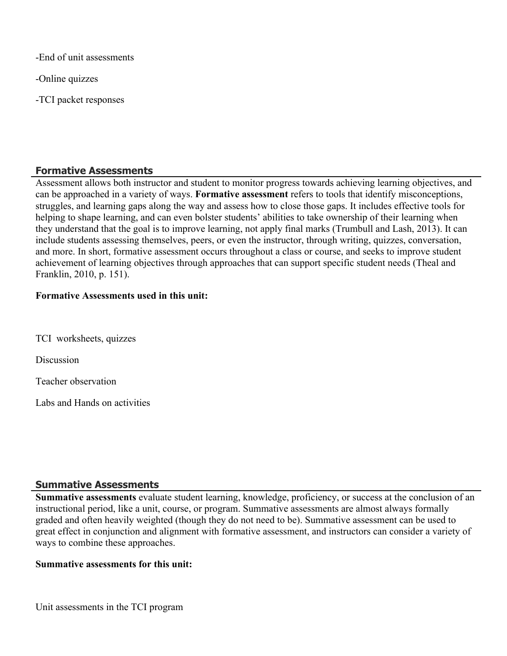-End of unit assessments

-Online quizzes

-TCI packet responses

#### **Formative Assessments**

Assessment allows both instructor and student to monitor progress towards achieving learning objectives, and can be approached in a variety of ways. **Formative assessment** refers to tools that identify misconceptions, struggles, and learning gaps along the way and assess how to close those gaps. It includes effective tools for helping to shape learning, and can even bolster students' abilities to take ownership of their learning when they understand that the goal is to improve learning, not apply final marks (Trumbull and Lash, 2013). It can include students assessing themselves, peers, or even the instructor, through writing, quizzes, conversation, and more. In short, formative assessment occurs throughout a class or course, and seeks to improve student achievement of learning objectives through approaches that can support specific student needs (Theal and Franklin, 2010, p. 151).

#### **Formative Assessments used in this unit:**

TCI worksheets, quizzes

Discussion

Teacher observation

Labs and Hands on activities

#### **Summative Assessments**

**Summative assessments** evaluate student learning, knowledge, proficiency, or success at the conclusion of an instructional period, like a unit, course, or program. Summative assessments are almost always formally graded and often heavily weighted (though they do not need to be). Summative assessment can be used to great effect in conjunction and alignment with formative assessment, and instructors can consider a variety of ways to combine these approaches.

#### **Summative assessments for this unit:**

Unit assessments in the TCI program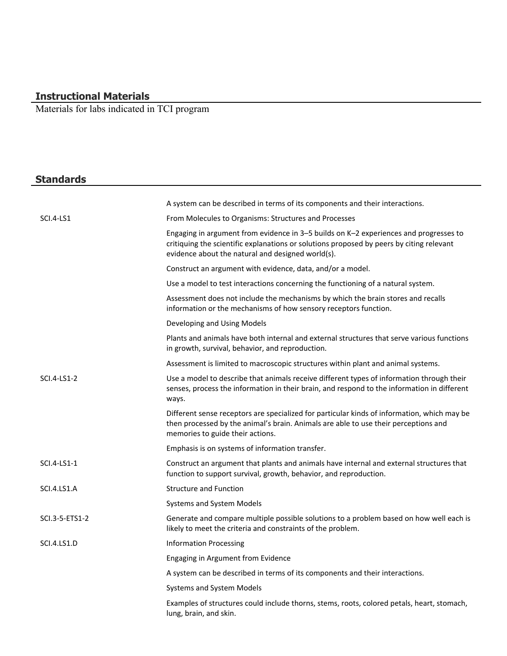#### **Instructional Materials**

Materials for labs indicated in TCI program

# **Standards**

|                    | A system can be described in terms of its components and their interactions.                                                                                                                                                           |
|--------------------|----------------------------------------------------------------------------------------------------------------------------------------------------------------------------------------------------------------------------------------|
| SCI.4-LS1          | From Molecules to Organisms: Structures and Processes                                                                                                                                                                                  |
|                    | Engaging in argument from evidence in 3-5 builds on K-2 experiences and progresses to<br>critiquing the scientific explanations or solutions proposed by peers by citing relevant<br>evidence about the natural and designed world(s). |
|                    | Construct an argument with evidence, data, and/or a model.                                                                                                                                                                             |
|                    | Use a model to test interactions concerning the functioning of a natural system.                                                                                                                                                       |
|                    | Assessment does not include the mechanisms by which the brain stores and recalls<br>information or the mechanisms of how sensory receptors function.                                                                                   |
|                    | Developing and Using Models                                                                                                                                                                                                            |
|                    | Plants and animals have both internal and external structures that serve various functions<br>in growth, survival, behavior, and reproduction.                                                                                         |
|                    | Assessment is limited to macroscopic structures within plant and animal systems.                                                                                                                                                       |
| SCI.4-LS1-2        | Use a model to describe that animals receive different types of information through their<br>senses, process the information in their brain, and respond to the information in different<br>ways.                                      |
|                    | Different sense receptors are specialized for particular kinds of information, which may be<br>then processed by the animal's brain. Animals are able to use their perceptions and<br>memories to guide their actions.                 |
|                    | Emphasis is on systems of information transfer.                                                                                                                                                                                        |
| SCI.4-LS1-1        | Construct an argument that plants and animals have internal and external structures that<br>function to support survival, growth, behavior, and reproduction.                                                                          |
| SCI.4.LS1.A        | <b>Structure and Function</b>                                                                                                                                                                                                          |
|                    | Systems and System Models                                                                                                                                                                                                              |
| SCI.3-5-ETS1-2     | Generate and compare multiple possible solutions to a problem based on how well each is<br>likely to meet the criteria and constraints of the problem.                                                                                 |
| <b>SCI.4.LS1.D</b> | <b>Information Processing</b>                                                                                                                                                                                                          |
|                    | Engaging in Argument from Evidence                                                                                                                                                                                                     |
|                    | A system can be described in terms of its components and their interactions.                                                                                                                                                           |
|                    | Systems and System Models                                                                                                                                                                                                              |
|                    | Examples of structures could include thorns, stems, roots, colored petals, heart, stomach,<br>lung, brain, and skin.                                                                                                                   |
|                    |                                                                                                                                                                                                                                        |